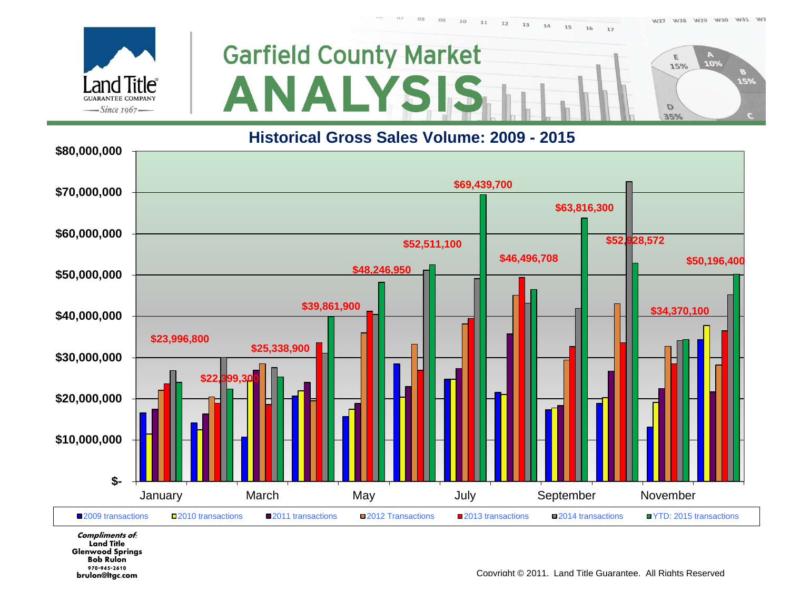$U\mathbb{Z}$ 17

W27 W28 W29 W30 W31 W3





### **Historical Gross Sales Volume: 2009 - 2015**



**Compliments of: Land Title Glenwood Springs Bob Rulon 970-945-2610** brulon@ltgc.com

Copyright © 2011. Land Title Guarantee. All Rights Reserved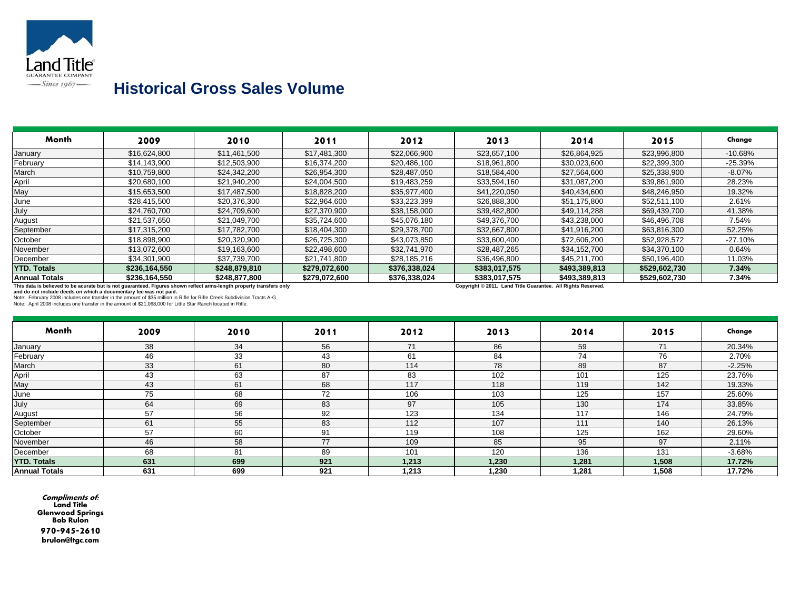

### **Historical Gross Sales Volume**

| Month                                                             | 2009                                                                                                                                                                                                                                            | 2010          | 2011          | 2012          | 2013                                    | 2014                 | 2015          | Change    |
|-------------------------------------------------------------------|-------------------------------------------------------------------------------------------------------------------------------------------------------------------------------------------------------------------------------------------------|---------------|---------------|---------------|-----------------------------------------|----------------------|---------------|-----------|
| January                                                           | \$16,624,800                                                                                                                                                                                                                                    | \$11.461.500  | \$17,481,300  | \$22,066,900  | \$23,657,100                            | \$26,864,925         | \$23,996,800  | $-10.68%$ |
| February                                                          | \$14,143,900                                                                                                                                                                                                                                    | \$12,503,900  | \$16,374,200  | \$20,486,100  | \$18,961,800                            | \$30,023,600         | \$22,399,300  | $-25.39%$ |
| March                                                             | \$10,759,800                                                                                                                                                                                                                                    | \$24,342,200  | \$26,954,300  | \$28,487,050  | \$18,584,400                            | \$27,564,600         | \$25,338,900  | $-8.07%$  |
| April                                                             | \$20,680,100                                                                                                                                                                                                                                    | \$21,940,200  | \$24,004,500  | \$19,483,259  | \$33,594,160                            | \$31,087,200         | \$39,861,900  | 28.23%    |
| May                                                               | \$15,653,500                                                                                                                                                                                                                                    | \$17.487.500  | \$18,828,200  | \$35.977.400  | \$41,220,050                            | \$40.434,600         | \$48,246,950  | 19.32%    |
| June                                                              | \$28,415,500                                                                                                                                                                                                                                    | \$20,376,300  | \$22,964,600  | \$33,223,399  | \$26,888,300                            | \$51,175,800         | \$52,511,100  | 2.61%     |
| July                                                              | \$24,760,700                                                                                                                                                                                                                                    | \$24,709,600  | \$27,370,900  | \$38,158,000  | \$39,482,800                            | \$49.114.288         | \$69,439,700  | 41.38%    |
| August                                                            | \$21,537,650                                                                                                                                                                                                                                    | \$21,049,700  | \$35,724,600  | \$45,076,180  | \$49,376,700                            | \$43,238,000         | \$46,496,708  | 7.54%     |
| September                                                         | \$17,315,200                                                                                                                                                                                                                                    | \$17,782,700  | \$18,404,300  | \$29,378,700  | \$32,667,800                            | \$41,916,200         | \$63,816,300  | 52.25%    |
| October                                                           | \$18,898,900                                                                                                                                                                                                                                    | \$20,320,900  | \$26,725,300  | \$43.073.850  | \$33,600,400                            | \$72,606,200         | \$52,928,572  | $-27.10%$ |
| November                                                          | \$13,072,600                                                                                                                                                                                                                                    | \$19,163,600  | \$22,498,600  | \$32,741,970  | \$28,487,265                            | \$34,152,700         | \$34,370,100  | 0.64%     |
| December                                                          | \$34,301,900                                                                                                                                                                                                                                    | \$37,739,700  | \$21,741,800  | \$28,185,216  | \$36,496,800                            | \$45,211,700         | \$50,196,400  | 11.03%    |
| <b>YTD. Totals</b>                                                | \$236,164,550                                                                                                                                                                                                                                   | \$248,879,810 | \$279,072,600 | \$376,338,024 | \$383,017,575                           | \$493,389,813        | \$529,602,730 | 7.34%     |
| <b>Annual Totals</b>                                              | \$236,164,550                                                                                                                                                                                                                                   | \$248,877,800 | \$279,072,600 | \$376,338,024 | \$383,017,575                           | \$493,389,813        | \$529,602,730 | 7.34%     |
| and do not include deeds on which a documentary fee was not paid. | This data is believed to be acurate but is not guaranteed. Figures shown reflect arms-length property transfers only<br>Note: February 2008 includes one transfer in the amount of \$35 million in Rifle for Rifle Creek Subdivision Tracts A-G |               |               |               | Copyright © 2011. Land Title Guarantee. | All Rights Reserved. |               |           |

Note: April 2008 includes one transfer in the amount of \$21,068,000 for Little Star Ranch located in Rifle.

| <b>Month</b>         | 2009 | 2010 | 2011 | 2012  | 2013  | 2014  | 2015  | Change   |
|----------------------|------|------|------|-------|-------|-------|-------|----------|
| January              | 38   | 34   | 56   | 74    | 86    | 59    | 71    | 20.34%   |
| February             | 46   | 33   | 43   | 61    | 84    | 74    | 76    | 2.70%    |
| March                | 33   | 61   | 80   | 114   | 78    | 89    | 87    | $-2.25%$ |
| April                | 43   | 63   | 87   | 83    | 102   | 101   | 125   | 23.76%   |
| May                  | 43   | 61   | 68   | 117   | 118   | 119   | 142   | 19.33%   |
| June                 | 75   | 68   | 72   | 106   | 103   | 125   | 157   | 25.60%   |
| July                 | 64   | 69   | 83   | 97    | 105   | 130   | 174   | 33.85%   |
| August               | 57   | 56   | 92   | 123   | 134   | 117   | 146   | 24.79%   |
| September            | 61   | 55   | 83   | 112   | 107   | 111   | 140   | 26.13%   |
| October              | 57   | 60   | 91   | 119   | 108   | 125   | 162   | 29.60%   |
| November             | 46   | 58   | 77   | 109   | 85    | 95    | 97    | 2.11%    |
| December             | 68   | 81   | 89   | 101   | 120   | 136   | 131   | $-3.68%$ |
| <b>YTD. Totals</b>   | 631  | 699  | 921  | 1,213 | 1,230 | 1,281 | 1,508 | 17.72%   |
| <b>Annual Totals</b> | 631  | 699  | 921  | 1,213 | 1,230 | 1,281 | 1,508 | 17.72%   |

**Compliments of: Land Title Glenwood Springs Bob Rulon 970-945-2610** brulon@ltgc.com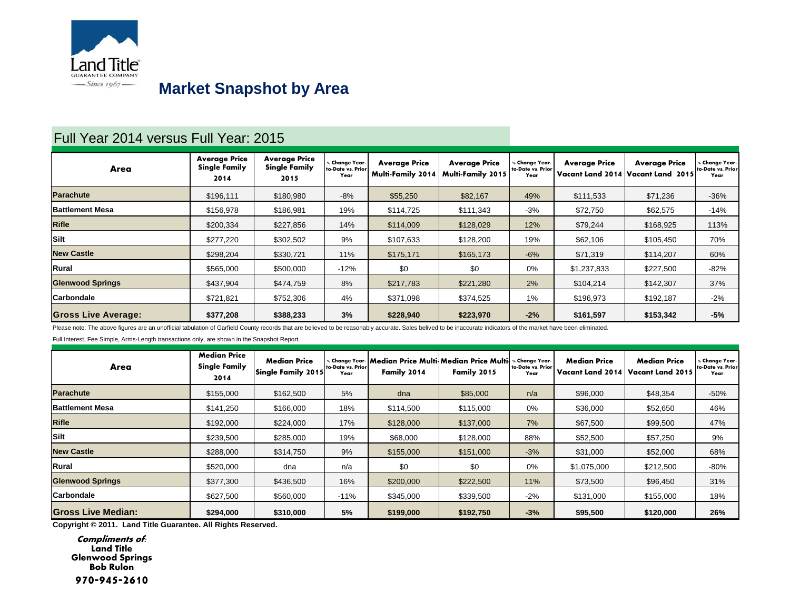

# **Market Snapshot by Area**

### Full Year 2014 versus Full Year: 2015

| Area                       | <b>Average Price</b><br><b>Single Family</b><br>2014 | <b>Average Price</b><br><b>Single Family</b><br>2015 | Change Year-<br>to-Date vs. Prior<br>Year | <b>Average Price</b><br><b>Multi-Family 2014</b> | <b>Average Price</b><br><b>Multi-Family 2015</b> | <b>Change Year-</b><br>to-Date vs. Prior<br>Year | <b>Average Price</b><br>Vacant Land 2014 | <b>Average Price</b><br>Vacant Land 2015 | Ghange Year-<br>to-Date vs. Prior<br>Year |
|----------------------------|------------------------------------------------------|------------------------------------------------------|-------------------------------------------|--------------------------------------------------|--------------------------------------------------|--------------------------------------------------|------------------------------------------|------------------------------------------|-------------------------------------------|
| <b>Parachute</b>           | \$196.111                                            | \$180.980                                            | $-8%$                                     | \$55,250                                         | \$82,167                                         | 49%                                              | \$111,533                                | \$71,236                                 | $-36%$                                    |
| <b>Battlement Mesa</b>     | \$156,978                                            | \$186,981                                            | 19%                                       | \$114,725                                        | \$111,343                                        | $-3%$                                            | \$72,750                                 | \$62,575                                 | $-14%$                                    |
| <b>Rifle</b>               | \$200,334                                            | \$227,856                                            | 14%                                       | \$114,009                                        | \$128,029                                        | 12%                                              | \$79,244                                 | \$168,925                                | 113%                                      |
| Silt                       | \$277,220                                            | \$302,502                                            | 9%                                        | \$107,633                                        | \$128,200                                        | 19%                                              | \$62,106                                 | \$105,450                                | 70%                                       |
| <b>New Castle</b>          | \$298,204                                            | \$330,721                                            | 11%                                       | \$175,171                                        | \$165,173                                        | $-6%$                                            | \$71,319                                 | \$114,207                                | 60%                                       |
| Rural                      | \$565,000                                            | \$500,000                                            | $-12%$                                    | \$0                                              | \$0                                              | 0%                                               | \$1,237,833                              | \$227,500                                | $-82%$                                    |
| <b>Glenwood Springs</b>    | \$437,904                                            | \$474.759                                            | 8%                                        | \$217,783                                        | \$221,280                                        | 2%                                               | \$104,214                                | \$142,307                                | 37%                                       |
| <b>Carbondale</b>          | \$721,821                                            | \$752,306                                            | 4%                                        | \$371,098                                        | \$374,525                                        | 1%                                               | \$196,973                                | \$192,187                                | $-2%$                                     |
| <b>Gross Live Average:</b> | \$377,208                                            | \$388,233                                            | 3%                                        | \$228,940                                        | \$223,970                                        | $-2%$                                            | \$161,597                                | \$153,342                                | $-5%$                                     |

Please note: The above figures are an unofficial tabulation of Garfield County records that are believed to be reasonably accurate. Sales belived to be inaccurate indicators of the market have been eliminated.

Full Interest, Fee Simple, Arms-Length transactions only, are shown in the Snapshot Report.

| Area                      | <b>Median Price</b><br><b>Single Family</b><br>2014 | <b>Median Price</b><br>Single Family 2015 | to-Date vs. Prior<br>Year | Family 2014 | Change Year- Median Price Multi Median Price Multi، ا<br>Family 2015 | <b>Change Year-</b><br>to-Date vs. Prior<br>Year | <b>Median Price</b><br>Vacant Land 2014 | <b>Median Price</b><br>Vacant Land 2015 | <b>Change Year-</b><br>to-Date vs. Prior<br>Year |
|---------------------------|-----------------------------------------------------|-------------------------------------------|---------------------------|-------------|----------------------------------------------------------------------|--------------------------------------------------|-----------------------------------------|-----------------------------------------|--------------------------------------------------|
| <b>Parachute</b>          | \$155,000                                           | \$162,500                                 | 5%                        | dna         | \$85,000                                                             | n/a                                              | \$96,000                                | \$48,354                                | $-50%$                                           |
| <b>Battlement Mesa</b>    | \$141.250                                           | \$166,000                                 | 18%                       | \$114.500   | \$115,000                                                            | 0%                                               | \$36,000                                | \$52,650                                | 46%                                              |
| <b>Rifle</b>              | \$192,000                                           | \$224,000                                 | 17%                       | \$128,000   | \$137,000                                                            | 7%                                               | \$67,500                                | \$99,500                                | 47%                                              |
| <b>Silt</b>               | \$239,500                                           | \$285,000                                 | 19%                       | \$68,000    | \$128,000                                                            | 88%                                              | \$52,500                                | \$57,250                                | 9%                                               |
| <b>New Castle</b>         | \$288,000                                           | \$314,750                                 | 9%                        | \$155,000   | \$151,000                                                            | $-3%$                                            | \$31,000                                | \$52,000                                | 68%                                              |
| Rural                     | \$520,000                                           | dna                                       | n/a                       | \$0         | \$0                                                                  | 0%                                               | \$1,075,000                             | \$212,500                               | $-80%$                                           |
| <b>Glenwood Springs</b>   | \$377,300                                           | \$436,500                                 | 16%                       | \$200,000   | \$222,500                                                            | 11%                                              | \$73,500                                | \$96,450                                | 31%                                              |
| Carbondale                | \$627,500                                           | \$560,000                                 | $-11%$                    | \$345,000   | \$339,500                                                            | $-2%$                                            | \$131,000                               | \$155,000                               | 18%                                              |
| <b>Gross Live Median:</b> | \$294,000                                           | \$310,000                                 | 5%                        | \$199,000   | \$192,750                                                            | $-3%$                                            | \$95,500                                | \$120,000                               | 26%                                              |

**Copyright © 2011. Land Title Guarantee. All Rights Reserved.**

**Compliments of: Land Title Glenwood Springs Bob Rulon 970-945-2610**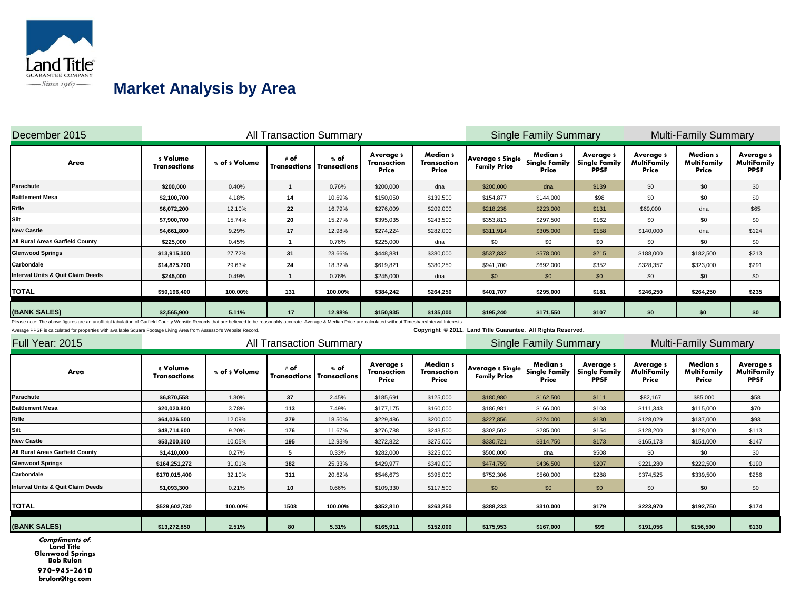

# **Market Analysis by Area**

| December 2015                     |                                 |               | <b>All Transaction Summary</b> |                             |                                                 |                                  |                                                | <b>Single Family Summary</b>              |                                                        |                                         | <b>Multi-Family Summary</b>      |                                               |
|-----------------------------------|---------------------------------|---------------|--------------------------------|-----------------------------|-------------------------------------------------|----------------------------------|------------------------------------------------|-------------------------------------------|--------------------------------------------------------|-----------------------------------------|----------------------------------|-----------------------------------------------|
| Area                              | s Volume<br><b>Transactions</b> | % of s Volume | # of<br>Transactions           | % of<br><b>Transactions</b> | <b>Average</b> s<br><b>Transaction</b><br>Price | Median s<br>Transaction<br>Price | <b>Average s Single</b><br><b>Family Price</b> | Median s<br><b>Single Family</b><br>Price | <b>Averages</b><br><b>Single Family</b><br><b>PPSF</b> | <b>Averages</b><br>MultiFamily<br>Price | Median s<br>MultiFamily<br>Price | <b>Averages</b><br>MultiFamily<br><b>PPSF</b> |
| Parachute                         | \$200,000                       | 0.40%         |                                | 0.76%                       | \$200,000                                       | dna                              | \$200,000                                      | dna                                       | \$139                                                  | \$0                                     | \$0                              | \$0                                           |
| <b>Battlement Mesa</b>            | \$2,100,700                     | 4.18%         | 14                             | 10.69%                      | \$150,050                                       | \$139,500                        | \$154,877                                      | \$144,000                                 | \$98                                                   | \$0                                     | \$0                              | \$0                                           |
| Rifle                             | \$6,072,200                     | 12.10%        | 22                             | 16.79%                      | \$276,009                                       | \$209,000                        | \$218,238                                      | \$223,000                                 | \$131                                                  | \$69,000                                | dna                              | \$65                                          |
| Silt                              | \$7,900,700                     | 15.74%        | 20                             | 15.27%                      | \$395,035                                       | \$243,500                        | \$353,813                                      | \$297,500                                 | \$162                                                  | \$0                                     | \$0                              | \$0                                           |
| <b>New Castle</b>                 | \$4,661,800                     | 9.29%         | 17                             | 12.98%                      | \$274,224                                       | \$282,000                        | \$311,914                                      | \$305,000                                 | \$158                                                  | \$140,000                               | dna                              | \$124                                         |
| All Rural Areas Garfield County   | \$225,000                       | 0.45%         |                                | 0.76%                       | \$225,000                                       | dna                              | \$0                                            | \$0                                       | \$0                                                    | \$0                                     | \$0                              | \$0                                           |
| <b>Glenwood Springs</b>           | \$13,915,300                    | 27.72%        | 31                             | 23.66%                      | \$448,881                                       | \$380,000                        | \$537,832                                      | \$578,000                                 | \$215                                                  | \$188,000                               | \$182,500                        | \$213                                         |
| Carbondale                        | \$14,875,700                    | 29.63%        | 24                             | 18.32%                      | \$619,821                                       | \$380,250                        | \$941,700                                      | \$692,000                                 | \$352                                                  | \$328,357                               | \$323,000                        | \$291                                         |
| Interval Units & Quit Claim Deeds | \$245,000                       | 0.49%         |                                | 0.76%                       | \$245,000                                       | dna                              | \$0                                            | \$0                                       | \$0                                                    | \$0                                     | \$0                              | \$0                                           |
| <b>TOTAL</b>                      | \$50,196,400                    | 100.00%       | 131                            | 100.00%                     | \$384,242                                       | \$264,250                        | \$401,707                                      | \$295,000                                 | \$181                                                  | \$246,250                               | \$264,250                        | \$235                                         |
| (BANK SALES)                      | \$2,565,900                     | 5.11%         | 17                             | 12.98%                      | \$150,935                                       | \$135,000                        | \$195,240                                      | \$171,550                                 | \$107                                                  | \$0                                     | \$0                              | \$0                                           |
|                                   |                                 |               |                                |                             |                                                 |                                  |                                                |                                           |                                                        |                                         |                                  |                                               |

Please note: The above figures are an unofficial tabulation of Garfield County Website Records that are believed to be reasonably accurate. Average & Median Price are calculated without Timeshare/Interval Interests.

Average PPSF is calculated for properties with available Square Footage Living Area from Assessor's Website Record. **Copyright © 2011.** Land Title Guarantee. All Rights Reserved.

| Full Year: 2015                   |                                 |                | <b>All Transaction Summary</b>           |         |                                         |                                  |                                                | <b>Single Family Summary</b>              |                                                        |                                          | <b>Multi-Family Summary</b>      |                                                |
|-----------------------------------|---------------------------------|----------------|------------------------------------------|---------|-----------------------------------------|----------------------------------|------------------------------------------------|-------------------------------------------|--------------------------------------------------------|------------------------------------------|----------------------------------|------------------------------------------------|
| Area                              | s Volume<br><b>Transactions</b> | % of \$ Volume | # of<br><b>Transactions</b> Transactions | % of    | <b>Averages</b><br>Transaction<br>Price | Median s<br>Transaction<br>Price | <b>Average s Single</b><br><b>Family Price</b> | Median s<br><b>Single Family</b><br>Price | <b>Averages</b><br><b>Single Family</b><br><b>PPSF</b> | <b>Average s</b><br>MultiFamily<br>Price | Median s<br>MultiFamily<br>Price | <b>Average</b> s<br>MultiFamily<br><b>PPSF</b> |
| Parachute                         | \$6,870,558                     | 1.30%          | 37                                       | 2.45%   | \$185,691                               | \$125,000                        | \$180,980                                      | \$162,500                                 | \$111                                                  | \$82,167                                 | \$85,000                         | \$58                                           |
| <b>Battlement Mesa</b>            | \$20,020,800                    | 3.78%          | 113                                      | 7.49%   | \$177,175                               | \$160,000                        | \$186,981                                      | \$166,000                                 | \$103                                                  | \$111,343                                | \$115,000                        | \$70                                           |
| Rifle                             | \$64,026,500                    | 12.09%         | 279                                      | 18.50%  | \$229,486                               | \$200,000                        | \$227,856                                      | \$224,000                                 | \$130                                                  | \$128,029                                | \$137,000                        | \$93                                           |
| Silt                              | \$48,714,600                    | 9.20%          | 176                                      | 11.67%  | \$276,788                               | \$243,500                        | \$302,502                                      | \$285,000                                 | \$154                                                  | \$128,200                                | \$128,000                        | \$113                                          |
| <b>New Castle</b>                 | \$53,200,300                    | 10.05%         | 195                                      | 12.93%  | \$272,822                               | \$275,000                        | \$330,721                                      | \$314,750                                 | \$173                                                  | \$165,173                                | \$151,000                        | \$147                                          |
| All Rural Areas Garfield County   | \$1,410,000                     | 0.27%          | 5                                        | 0.33%   | \$282,000                               | \$225,000                        | \$500,000                                      | dna                                       | \$508                                                  | \$0                                      | \$0                              | \$0                                            |
| <b>Glenwood Springs</b>           | \$164,251,272                   | 31.01%         | 382                                      | 25.33%  | \$429,977                               | \$349,000                        | \$474,759                                      | \$436,500                                 | \$207                                                  | \$221,280                                | \$222,500                        | \$190                                          |
| Carbondale                        | \$170,015,400                   | 32.10%         | 311                                      | 20.62%  | \$546,673                               | \$395,000                        | \$752,306                                      | \$560,000                                 | \$288                                                  | \$374,525                                | \$339,500                        | \$256                                          |
| Interval Units & Quit Claim Deeds | \$1,093,300                     | 0.21%          | 10                                       | 0.66%   | \$109,330                               | \$117,500                        | \$0                                            | \$0                                       | \$0                                                    | \$0                                      | \$0                              | \$0                                            |
| <b>TOTAL</b>                      | \$529,602,730                   | 100.00%        | 1508                                     | 100.00% | \$352,810                               | \$263,250                        | \$388,233                                      | \$310,000                                 | \$179                                                  | \$223,970                                | \$192,750                        | \$174                                          |
| (BANK SALES)                      | \$13,272,850                    | 2.51%          | 80                                       | 5.31%   | \$165,911                               | \$152,000                        | \$175,953                                      | \$167,000                                 | \$99                                                   | \$191,056                                | \$156,500                        | \$130                                          |

**Compliments of: Land Title Glenwood Springs Bob Rulon 970-945-2610** brulon@ltgc.com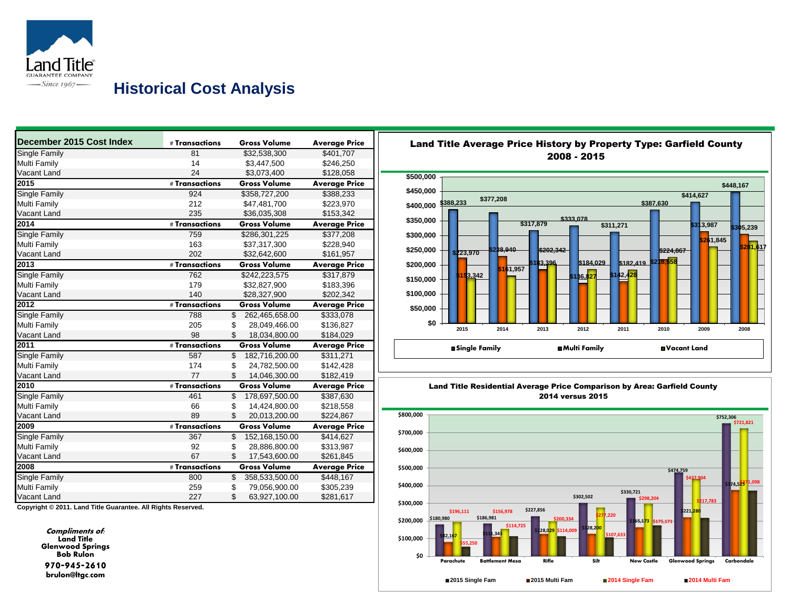

### **Historical Cost Analysis**

| December 2015 Cost Index | # Transactions   |                          | <b>Gross Volume</b> | <b>Average Price</b> |
|--------------------------|------------------|--------------------------|---------------------|----------------------|
| Single Family            | 81               |                          | \$32,538,300        | \$401,707            |
| Multi Family             | 14               |                          | \$3,447,500         | \$246,250            |
| Vacant Land              | 24               |                          | \$3,073,400         | \$128,058            |
| 2015                     | # Transactions   |                          | <b>Gross Volume</b> | <b>Average Price</b> |
| <b>Single Family</b>     | 924              |                          | \$358,727,200       | \$388,233            |
| Multi Family             | 212              |                          | \$47,481,700        | \$223,970            |
| Vacant Land              | 235              |                          | \$36,035,308        | \$153,342            |
| 2014                     | # Transactions   |                          | <b>Gross Volume</b> | <b>Average Price</b> |
| Single Family            | 759              |                          | \$286,301,225       | \$377,208            |
| Multi Family             | 163              |                          | \$37,317,300        | \$228,940            |
| Vacant Land              | 202              |                          | \$32,642,600        | \$161,957            |
| 2013                     | # Transactions   |                          | <b>Gross Volume</b> | <b>Average Price</b> |
| Single Family            | 762              |                          | \$242,223,575       | \$317,879            |
| Multi Family             | 179              |                          | \$32,827,900        | \$183,396            |
| Vacant Land              | 140              |                          | \$28,327,900        | \$202,342            |
| 2012                     | # Transactions   |                          | <b>Gross Volume</b> | <b>Average Price</b> |
| <b>Single Family</b>     | 788              | $\overline{\mathbb{S}}$  | 262.465.658.00      | \$333,078            |
| Multi Family             | 205              | \$                       | 28,049,466.00       | \$136,827            |
| Vacant Land              | 98               | \$.                      | 18,034,800.00       | \$184,029            |
| 2011                     | # Transactions   |                          | <b>Gross Volume</b> | <b>Average Price</b> |
| <b>Single Family</b>     | 587              | \$                       | 182,716,200.00      | \$311,271            |
| Multi Family             | 174              | \$                       | 24,782,500.00       | \$142,428            |
| Vacant Land              | 77               | \$                       | 14,046,300.00       | \$182,419            |
| 2010                     | # Transactions   |                          | <b>Gross Volume</b> | <b>Average Price</b> |
| Single Family            | 461              | $\overline{\$}$          | 178.697.500.00      | \$387,630            |
| Multi Family             | 66               | \$                       | 14,424,800.00       | \$218,558            |
| Vacant Land              | 89               | \$                       | 20,013,200.00       | \$224,867            |
| 2009                     | $#$ Transactions |                          | <b>Gross Volume</b> | <b>Average Price</b> |
| Single Family            | 367              | $\overline{\mathcal{S}}$ | 152,168,150.00      | \$414,627            |
| Multi Family             | 92               | \$                       | 28,886,800.00       | \$313,987            |
| Vacant Land              | 67               | \$                       | 17,543,600.00       | \$261,845            |
| 2008                     | # Transactions   |                          | <b>Gross Volume</b> | <b>Average Price</b> |
| <b>Single Family</b>     | 800              | \$                       | 358,533,500.00      | \$448,167            |
| Multi Family             | 259              | \$                       | 79,056,900.00       | \$305,239            |
| Vacant Land              | 227              | \$                       | 63,927,100.00       | \$281,617            |

**Copyright © 2011. Land Title Guarantee. All Rights Reserved.**

**Compliments of: Land Title Glenwood Springs Bob Rulon 970-945-2610** brulon@ltgc.com



# Land Title Average Price History by Property Type: Garfield County



Land Title Residential Average Price Comparison by Area: Garfield County 2014 versus 2015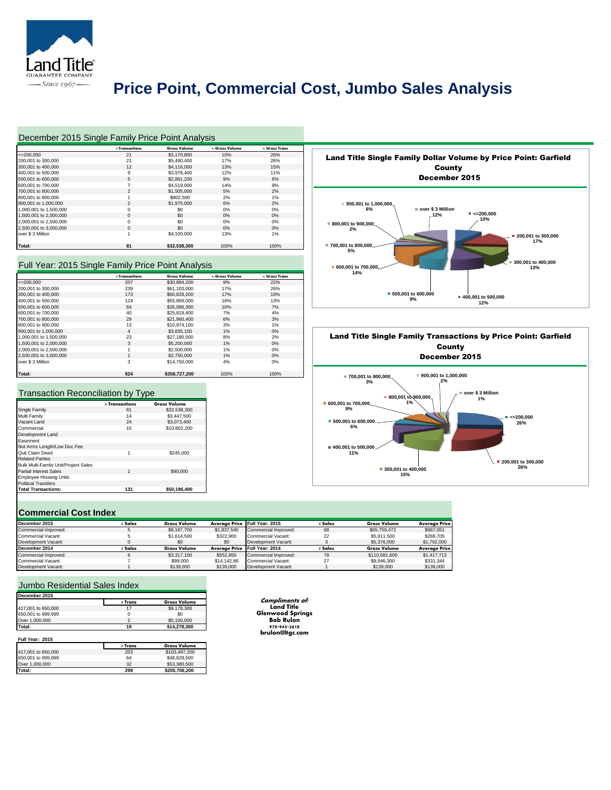

# **Price Point, Commercial Cost, Jumbo Sales Analysis**

| December 2015 Single Family Price Point Analysis |                |                     |                |                      |
|--------------------------------------------------|----------------|---------------------|----------------|----------------------|
|                                                  | # Transactions | <b>Gross Volume</b> | % Gross Volume | <b>S</b> Gross Trans |
| $<=200.000$                                      | 21             | \$3,170,800         | 10%            | 26%                  |
| 200,001 to 300,000                               | 21             | \$5,490,400         | 17%            | 26%                  |
| 300,001 to 400,000                               | 12             | \$4,116,000         | 13%            | 15%                  |
| 400,001 to 500,000                               | 9              | \$3,978,400         | 12%            | 11%                  |
| 500,001 to 600,000                               | 5              | \$2,881,200         | 9%             | 6%                   |
| 600,001 to 700,000                               | $\overline{7}$ | \$4,519,000         | 14%            | 9%                   |
| 700,001 to 800,000                               | 2              | \$1,505,000         | 5%             | 2%                   |
| 800,001 to 900,000                               | 1              | \$802,500           | 2%             | 1%                   |
| 900,001 to 1,000,000                             | $\overline{2}$ | \$1,975,000         | 6%             | 2%                   |
| 1.000.001 to 1.500.000                           | $\Omega$       | \$0                 | 0%             | 0%                   |
| 1,500,001 to 2,000,000                           | $\Omega$       | \$0                 | 0%             | $0\%$                |
| 2,000,001 to 2,500,000                           | $\Omega$       | \$0                 | 0%             | $0\%$                |
| 2,500,001 to 3,000,000                           | $\Omega$       | \$0                 | 0%             | $0\%$                |
| over \$3 Million                                 |                | \$4,100,000         | 13%            | 1%                   |
| Total:                                           | 81             | \$32,538,300        | 100%           | 100%                 |

#### Full Year: 2015 Single Family Price Point Analysis

|                        | # Transactions | <b>Gross Volume</b> | % Gross Volume | % Gross Trans |
|------------------------|----------------|---------------------|----------------|---------------|
| $<=200.000$            | 207            | \$30,884,200        | 9%             | 22%           |
| 200,001 to 300,000     | 239            | \$61,103,000        | 17%            | 26%           |
| 300,001 to 400,000     | 173            | \$60,828,200        | 17%            | 19%           |
| 400,001 to 500,000     | 124            | \$55,856,000        | 16%            | 13%           |
| 500,001 to 600,000     | 64             | \$35,086,300        | 10%            | 7%            |
| 600,001 to 700,000     | 40             | \$25,819,400        | 7%             | 4%            |
| 700,001 to 800,000     | 29             | \$21,960,400        | 6%             | 3%            |
| 800,001 to 900,000     | 13             | \$10,974.100        | 3%             | 1%            |
| 900,001 to 1,000,000   | 4              | \$3,835,100         | 1%             | 0%            |
| 1.000.001 to 1.500.000 | 23             | \$27,180,500        | 8%             | 2%            |
| 1,500,001 to 2,000,000 | 3              | \$5,200,000         | 1%             | 0%            |
| 2,000,001 to 2,500,000 |                | \$2,500,000         | 1%             | 0%            |
| 2.500.001 to 3.000.000 |                | \$2,750,000         | 1%             | 0%            |
| over \$3 Million       | 3              | \$14,750,000        | 4%             | 0%            |
| Total:                 | 924            | \$358.727.200       | 100%           | 100%          |

#### Transaction Reconciliation by Type

|                                      | # Transactions | <b>Gross Volume</b> |
|--------------------------------------|----------------|---------------------|
| Single Family                        | 81             | \$32,538,300        |
| Multi Family                         | 14             | \$3,447,500         |
| Vacant Land                          | 24             | \$3.073.400         |
| Commercial                           | 10             | \$10,802,200        |
| Development Land                     |                |                     |
| Easement                             |                |                     |
| Not Arms Length/Low Doc Fee          |                |                     |
| Quit Claim Deed                      | 1              | \$245,000           |
| <b>Related Parties</b>               |                |                     |
| Bulk Multi-Family Unit/Project Sales |                |                     |
| <b>Partial Interest Sales</b>        | 1              | \$90,000            |
| <b>Employee Housing Units</b>        |                |                     |
| <b>Political Transfers</b>           |                |                     |
| <b>Total Transactions:</b>           | 131            | \$50.196.400        |
|                                      |                |                     |

#### **Commercial Cost Index**

| __________________   |         |                     |             |                               |         |                     |                      |
|----------------------|---------|---------------------|-------------|-------------------------------|---------|---------------------|----------------------|
| December 2015        | Sales   | <b>Gross Volume</b> |             | Avergge Price Full Year: 2015 | # Sales | <b>Gross Volume</b> | <b>Average Price</b> |
| Commercial Improved: |         | \$9,187,700         | \$1,837,540 | Commercial Improved:          | 68      | \$65,759,472        | \$967.051            |
| Commercial Vacant:   |         | \$1,614,500         | \$322,900   | Commercial Vacant:            | 22      | \$5,911,500         | \$268,705            |
| Development Vacant:  |         | \$0                 | \$0         | Development Vacant:           |         | \$5,376,000         | \$1,792,000          |
| December 2014        | : Sales | <b>Gross Volume</b> |             | Avergge Price Full Year: 2014 | # Sales | <b>Gross Volume</b> | <b>Average Price</b> |
| Commercial Improved: |         | \$3,317,100         | \$552,850   | Commercial Improved:          | 78      | \$110,581,600       | \$1,417,713          |
| Commercial Vacant:   |         | \$99,000            | \$14,142.86 | Commercial Vacant:            | 27      | \$8,946,300         | \$331,344            |
| Development Vacant:  |         | \$139,000           | \$139,000   | Development Vacant:           |         | \$139,000           | \$139,000            |

#### Jumbo Residential Sales Index

| December 2015      |                |                     |
|--------------------|----------------|---------------------|
|                    | # Trans        | <b>Gross Volume</b> |
| 417,001 to 650,000 | 17             | \$9,178,300         |
| 650,001 to 999,999 | 0              | \$0                 |
| Over 1,000,000     | $\overline{2}$ | \$5,100,000         |
| Total:             | 19             | \$14.278.300        |
| Full Year: 2015    | # Trans        | <b>Gross Volume</b> |
| 417,001 to 650,000 | 203            | \$103,497,200       |
| 650,001 to 999,999 | 64             | \$48,828,500        |
| Over 1,000,000     | 32             |                     |
|                    |                | \$53,380,500        |

**Compliments of: Land Title Glenwood Springs Bob Rulon 970-945-2610** brulon@ltgc.com



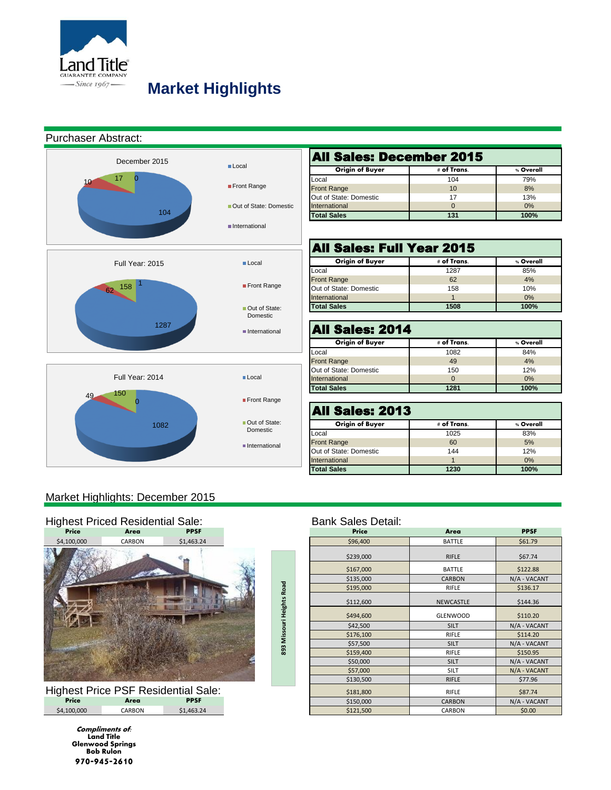

# **Market Highlights**

### Purchaser Abstract:



| <b>All Sales: December 2015</b>                    |     |      |  |  |  |  |  |  |  |  |
|----------------------------------------------------|-----|------|--|--|--|--|--|--|--|--|
| <b>Origin of Buyer</b><br># of Trans.<br>% Overall |     |      |  |  |  |  |  |  |  |  |
| Local                                              | 104 | 79%  |  |  |  |  |  |  |  |  |
| <b>Front Range</b>                                 | 10  | 8%   |  |  |  |  |  |  |  |  |
| Out of State: Domestic                             | 17  | 13%  |  |  |  |  |  |  |  |  |
| International                                      |     | 0%   |  |  |  |  |  |  |  |  |
| <b>Total Sales</b>                                 | 131 | 100% |  |  |  |  |  |  |  |  |

| All Sales: Full Year 2015 |             |           |  |  |  |  |  |  |  |  |
|---------------------------|-------------|-----------|--|--|--|--|--|--|--|--|
| <b>Origin of Buyer</b>    | # of Trans. | % Overall |  |  |  |  |  |  |  |  |
| Local                     | 1287        | 85%       |  |  |  |  |  |  |  |  |
| <b>Front Range</b>        | 62          | 4%        |  |  |  |  |  |  |  |  |
| Out of State: Domestic    | 158         | 10%       |  |  |  |  |  |  |  |  |
| International             |             | 0%        |  |  |  |  |  |  |  |  |
| <b>Total Sales</b>        | 1508        | 100%      |  |  |  |  |  |  |  |  |

| All Sales: 2014        |             |           |  |  |  |  |  |  |  |  |  |
|------------------------|-------------|-----------|--|--|--|--|--|--|--|--|--|
| Origin of Buyer        | # of Trans. | % Overall |  |  |  |  |  |  |  |  |  |
| Local                  | 1082        | 84%       |  |  |  |  |  |  |  |  |  |
| <b>Front Range</b>     | 49          | 4%        |  |  |  |  |  |  |  |  |  |
| Out of State: Domestic | 150         | 12%       |  |  |  |  |  |  |  |  |  |
| International          | O           | 0%        |  |  |  |  |  |  |  |  |  |
| <b>Total Sales</b>     | 1281        | 100%      |  |  |  |  |  |  |  |  |  |

| <b>All Sales: 2013</b> |           |  |  |  |  |  |  |  |  |  |
|------------------------|-----------|--|--|--|--|--|--|--|--|--|
| # of Trans.            | % Overall |  |  |  |  |  |  |  |  |  |
| 1025                   | 83%       |  |  |  |  |  |  |  |  |  |
| 60                     | 5%        |  |  |  |  |  |  |  |  |  |
| 144                    | 12%       |  |  |  |  |  |  |  |  |  |
|                        | 0%        |  |  |  |  |  |  |  |  |  |
| 1230                   | 100%      |  |  |  |  |  |  |  |  |  |
|                        |           |  |  |  |  |  |  |  |  |  |

### Market Highlights: December 2015



| <b>Highest Price PSF Residential Sale:</b> |        |             |  |  |  |  |  |  |  |
|--------------------------------------------|--------|-------------|--|--|--|--|--|--|--|
| Price                                      | Area   | <b>PPSF</b> |  |  |  |  |  |  |  |
| \$4,100,000                                | CARBON | \$1,463.24  |  |  |  |  |  |  |  |

**Compliments of: Land Title Glenwood Springs Bob Rulon 970-945-2610**

| <b>Price</b> | Area                                       | <b>PPSF</b> |                     | Price     | Area            | <b>PPSF</b>  |
|--------------|--------------------------------------------|-------------|---------------------|-----------|-----------------|--------------|
| \$4,100,000  | CARBON                                     | \$1,463.24  |                     | \$96,400  | <b>BATTLE</b>   | \$61.79      |
|              |                                            |             |                     | \$239,000 | RIFLE           | \$67.74      |
|              |                                            |             |                     | \$167,000 | <b>BATTLE</b>   | \$122.88     |
|              |                                            |             |                     | \$135,000 | <b>CARBON</b>   | N/A - VACANT |
|              |                                            |             |                     | \$195,000 | RIFLE           | \$136.17     |
|              |                                            |             | <b>Heights Road</b> | \$112,600 | NEWCASTLE       | \$144.36     |
|              |                                            |             |                     | \$494,600 | <b>GLENWOOD</b> | \$110.20     |
|              |                                            |             |                     | \$42,500  | <b>SILT</b>     | N/A - VACANT |
|              |                                            |             |                     | \$176,100 | RIFLE           | \$114.20     |
|              |                                            |             | 893 Missouri        | \$57,500  | <b>SILT</b>     | N/A - VACANT |
|              |                                            |             |                     | \$159,400 | RIFLE           | \$150.95     |
|              |                                            |             |                     | \$50,000  | <b>SILT</b>     | N/A - VACANT |
|              |                                            |             |                     | \$57,000  | SILT            | N/A - VACANT |
|              |                                            |             |                     | \$130,500 | <b>RIFLE</b>    | \$77.96      |
|              | <b>Highest Price PSF Residential Sale:</b> |             |                     | \$181,800 | RIFLE           | \$87.74      |
| Price        | Area                                       | <b>PPSF</b> |                     | \$150,000 | <b>CARBON</b>   | N/A - VACANT |
| \$4,100,000  | CARBON                                     | \$1,463.24  |                     | \$121,500 | CARBON          | \$0.00       |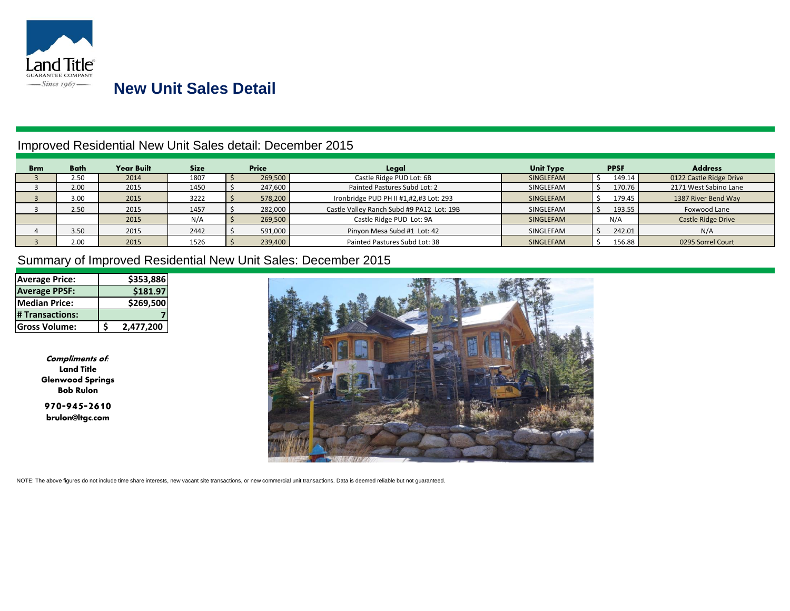

### **New Unit Sales Detail**

### Improved Residential New Unit Sales detail: December 2015

| <b>Brm</b> | Bath | <b>Year Built</b> | <b>Size</b> | <b>Price</b> |         | Legal                                               | <b>PPSF</b><br><b>Unit Type</b> |        |                     | <b>Address</b>          |  |
|------------|------|-------------------|-------------|--------------|---------|-----------------------------------------------------|---------------------------------|--------|---------------------|-------------------------|--|
|            | 2.50 | 2014              | 1807        |              | 269,500 | Castle Ridge PUD Lot: 6B                            | SINGLEFAM                       |        | 149.14              | 0122 Castle Ridge Drive |  |
|            | 2.00 | 2015              | 1450        |              | 247,600 | Painted Pastures Subd Lot: 2                        | SINGLEFAM                       | 170.76 |                     | 2171 West Sabino Lane   |  |
|            | 3.00 | 2015              | 3222        |              | 578,200 | Ironbridge PUD PH II #1,#2,#3 Lot: 293<br>SINGLEFAM |                                 | 179.45 | 1387 River Bend Way |                         |  |
|            | 2.50 | 2015              | 1457        |              | 282,000 | Castle Valley Ranch Subd #9 PA12 Lot: 19B           | SINGLEFAM                       |        | 193.55              | Foxwood Lane            |  |
|            |      | 2015              | N/A         |              | 269,500 | Castle Ridge PUD Lot: 9A                            | SINGLEFAM                       |        | N/A                 | Castle Ridge Drive      |  |
|            | 3.50 | 2015              | 2442        |              | 591,000 | Pinyon Mesa Subd #1 Lot: 42                         | SINGLEFAM                       |        | 242.01              | N/A                     |  |
|            | 2.00 | 2015              | 1526        |              | 239.400 | Painted Pastures Subd Lot: 38                       | SINGLEFAM                       |        | 156.88              | 0295 Sorrel Court       |  |

### Summary of Improved Residential New Unit Sales: December 2015

| <b>Average Price:</b> |   | \$353,886 |
|-----------------------|---|-----------|
| <b>Average PPSF:</b>  |   | \$181.97  |
| Median Price:         |   | \$269,500 |
| # Transactions:       |   |           |
| <b>Gross Volume:</b>  | S | 2,477,200 |

**Compliments of: Land Title Glenwood Springs Bob Rulon**

**970-945-2610**  brulon@ltgc.com



NOTE: The above figures do not include time share interests, new vacant site transactions, or new commercial unit transactions. Data is deemed reliable but not guaranteed.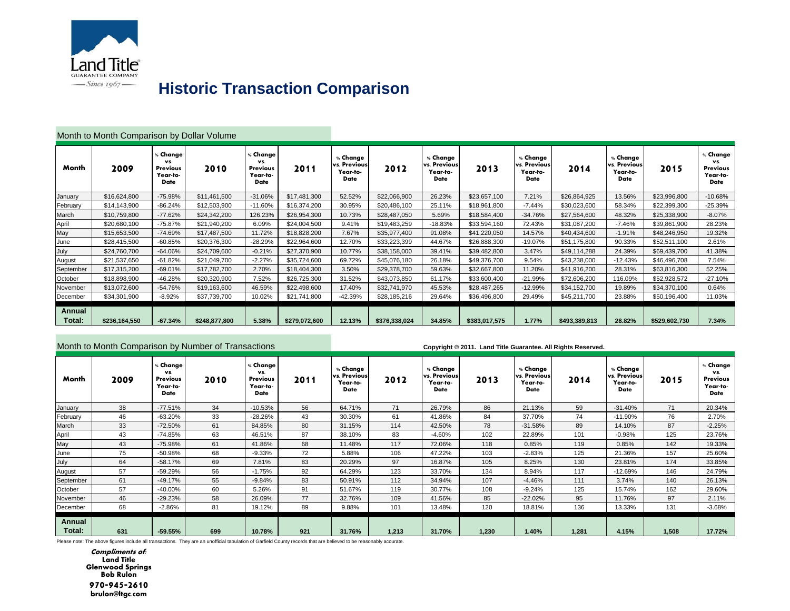

# **Historic Transaction Comparison**

| Month to Month Comparison by Dollar Volume |               |                                                 |               |                                                 |               |                                                     |               |                                                     |               |                                                     |               |                                                     |               |                                                 |
|--------------------------------------------|---------------|-------------------------------------------------|---------------|-------------------------------------------------|---------------|-----------------------------------------------------|---------------|-----------------------------------------------------|---------------|-----------------------------------------------------|---------------|-----------------------------------------------------|---------------|-------------------------------------------------|
| Month                                      | 2009          | , Change<br>VS.<br>Previous<br>Year-to-<br>Date | 2010          | % Change<br>VS.<br>Previous<br>Year-to-<br>Date | 2011          | % Change<br>vs. Previous<br>Year-to-<br><b>Date</b> | 2012          | % Change<br>vs. Previous<br>Year-to-<br><b>Date</b> | 2013          | % Change<br>vs. Previous<br>Year-to-<br><b>Date</b> | 2014          | % Change<br>vs. Previous<br>Year-to-<br><b>Date</b> | 2015          | % Change<br>VS.<br>Previous<br>Year-to-<br>Date |
| January                                    | \$16,624,800  | -75.98%                                         | \$11,461,500  | $-31.06%$                                       | \$17,481,300  | 52.52%                                              | \$22,066,900  | 26.23%                                              | \$23,657,100  | 7.21%                                               | \$26,864,925  | 13.56%                                              | \$23,996,800  | $-10.68%$                                       |
| February                                   | \$14,143,900  | $-86.24%$                                       | \$12,503,900  | $-11.60%$                                       | \$16,374,200  | 30.95%                                              | \$20,486,100  | 25.11%                                              | \$18,961,800  | $-7.44%$                                            | \$30,023,600  | 58.34%                                              | \$22,399,300  | -25.39%                                         |
| March                                      | \$10,759,800  | $-77.62%$                                       | \$24,342,200  | 126.23%                                         | \$26,954,300  | 10.73%                                              | \$28,487,050  | 5.69%                                               | \$18,584,400  | $-34.76%$                                           | \$27,564,600  | 48.32%                                              | \$25,338,900  | $-8.07%$                                        |
| April                                      | \$20,680,100  | $-75.87%$                                       | \$21,940,200  | 6.09%                                           | \$24,004,500  | 9.41%                                               | \$19,483,259  | $-18.83%$                                           | \$33,594,160  | 72.43%                                              | \$31,087,200  | $-7.46%$                                            | \$39,861,900  | 28.23%                                          |
| May                                        | \$15,653,500  | $-74.69%$                                       | \$17,487,500  | 11.72%                                          | \$18,828,200  | 7.67%                                               | \$35,977,400  | 91.08%                                              | \$41,220,050  | 14.57%                                              | \$40,434,600  | $-1.91%$                                            | \$48,246,950  | 19.32%                                          |
| June                                       | \$28,415,500  | $-60.85%$                                       | \$20,376,300  | $-28.29%$                                       | \$22,964,600  | 12.70%                                              | \$33,223,399  | 44.67%                                              | \$26,888,300  | $-19.07%$                                           | \$51,175,800  | 90.33%                                              | \$52,511,100  | 2.61%                                           |
| July                                       | \$24,760,700  | $-64.06%$                                       | \$24,709,600  | $-0.21%$                                        | \$27,370,900  | 10.77%                                              | \$38,158,000  | 39.41%                                              | \$39,482,800  | 3.47%                                               | \$49,114,288  | 24.39%                                              | \$69,439,700  | 41.38%                                          |
| August                                     | \$21,537,650  | $-61.82%$                                       | \$21,049,700  | $-2.27%$                                        | \$35,724,600  | 69.72%                                              | \$45,076,180  | 26.18%                                              | \$49,376,700  | 9.54%                                               | \$43,238,000  | $-12.43%$                                           | \$46,496,708  | 7.54%                                           |
| September                                  | \$17,315,200  | $-69.01%$                                       | \$17,782,700  | 2.70%                                           | \$18,404,300  | 3.50%                                               | \$29,378,700  | 59.63%                                              | \$32,667,800  | 11.20%                                              | \$41,916,200  | 28.31%                                              | \$63,816,300  | 52.25%                                          |
| October                                    | \$18,898,900  | $-46.28%$                                       | \$20,320,900  | 7.52%                                           | \$26,725,300  | 31.52%                                              | \$43,073,850  | 61.17%                                              | \$33,600,400  | $-21.99%$                                           | \$72,606,200  | 116.09%                                             | \$52,928,572  | $-27.10%$                                       |
| November                                   | \$13,072,600  | $-54.76%$                                       | \$19,163,600  | 46.59%                                          | \$22,498,600  | 17.40%                                              | \$32,741,970  | 45.53%                                              | \$28,487,265  | $-12.99%$                                           | \$34,152,700  | 19.89%                                              | \$34,370,100  | 0.64%                                           |
| December                                   | \$34,301,900  | $-8.92%$                                        | \$37,739,700  | 10.02%                                          | \$21,741,800  | $-42.39%$                                           | \$28,185,216  | 29.64%                                              | \$36,496,800  | 29.49%                                              | \$45,211,700  | 23.88%                                              | \$50,196,400  | 11.03%                                          |
| Annual<br>Total:                           | \$236,164,550 | $-67.34%$                                       | \$248,877,800 | 5.38%                                           | \$279,072,600 | 12.13%                                              | \$376,338,024 | 34.85%                                              | \$383,017,575 | 1.77%                                               | \$493,389,813 | 28.82%                                              | \$529,602,730 | 7.34%                                           |

| Month to Month Comparison by Number of Transactions |      |                                                      |      |                                                 |      | Copyright © 2011. Land Title Guarantee. All Rights Reserved. |       |                                              |       |                                              |       |                                              |       |                                                 |
|-----------------------------------------------------|------|------------------------------------------------------|------|-------------------------------------------------|------|--------------------------------------------------------------|-------|----------------------------------------------|-------|----------------------------------------------|-------|----------------------------------------------|-------|-------------------------------------------------|
| Month                                               | 2009 | <b>Change</b><br>VS.<br>Previous<br>Year-to-<br>Date | 2010 | % Change<br>VS.<br>Previous<br>Year-to-<br>Date | 2011 | % Change<br>vs. Previous<br>Year-to-<br>Date                 | 2012  | % Change<br>vs. Previous<br>Year-to-<br>Date | 2013  | % Change<br>vs. Previous<br>Year-to-<br>Date | 2014  | % Change<br>vs. Previous<br>Year-to-<br>Date | 2015  | % Change<br>VS.<br>Previous<br>Year-to-<br>Date |
| January                                             | 38   | $-77.51%$                                            | 34   | $-10.53%$                                       | 56   | 64.71%                                                       | 71    | 26.79%                                       | 86    | 21.13%                                       | 59    | $-31.40%$                                    | 71    | 20.34%                                          |
| February                                            | 46   | $-63.20%$                                            | 33   | $-28.26%$                                       | 43   | 30.30%                                                       | 61    | 41.86%                                       | 84    | 37.70%                                       | 74    | $-11.90%$                                    | 76    | 2.70%                                           |
| March                                               | 33   | $-72.50%$                                            | 61   | 84.85%                                          | 80   | 31.15%                                                       | 114   | 42.50%                                       | 78    | $-31.58%$                                    | 89    | 14.10%                                       | 87    | $-2.25%$                                        |
| April                                               | 43   | $-74.85%$                                            | 63   | 46.51%                                          | 87   | 38.10%                                                       | 83    | $-4.60%$                                     | 102   | 22.89%                                       | 101   | $-0.98%$                                     | 125   | 23.76%                                          |
| May                                                 | 43   | $-75.98%$                                            | 61   | 41.86%                                          | 68   | 11.48%                                                       | 117   | 72.06%                                       | 118   | 0.85%                                        | 119   | 0.85%                                        | 142   | 19.33%                                          |
| June                                                | 75   | $-50.98%$                                            | 68   | $-9.33%$                                        | 72   | 5.88%                                                        | 106   | 47.22%                                       | 103   | $-2.83%$                                     | 125   | 21.36%                                       | 157   | 25.60%                                          |
| July                                                | 64   | $-58.17%$                                            | 69   | 7.81%                                           | 83   | 20.29%                                                       | 97    | 16.87%                                       | 105   | 8.25%                                        | 130   | 23.81%                                       | 174   | 33.85%                                          |
| August                                              | 57   | -59.29%                                              | 56   | $-1.75%$                                        | 92   | 64.29%                                                       | 123   | 33.70%                                       | 134   | 8.94%                                        | 117   | $-12.69%$                                    | 146   | 24.79%                                          |
| September                                           | 61   | $-49.17%$                                            | 55   | $-9.84%$                                        | 83   | 50.91%                                                       | 112   | 34.94%                                       | 107   | $-4.46%$                                     | 111   | 3.74%                                        | 140   | 26.13%                                          |
| October                                             | 57   | -40.00%                                              | 60   | 5.26%                                           | 91   | 51.67%                                                       | 119   | 30.77%                                       | 108   | $-9.24%$                                     | 125   | 15.74%                                       | 162   | 29.60%                                          |
| November                                            | 46   | -29.23%                                              | 58   | 26.09%                                          | 77   | 32.76%                                                       | 109   | 41.56%                                       | 85    | $-22.02%$                                    | 95    | 11.76%                                       | 97    | 2.11%                                           |
| December                                            | 68   | $-2.86%$                                             | 81   | 19.12%                                          | 89   | 9.88%                                                        | 101   | 13.48%                                       | 120   | 18.81%                                       | 136   | 13.33%                                       | 131   | $-3.68%$                                        |
| Annual<br>Total:                                    | 631  | -59.55%                                              | 699  | 10.78%                                          | 921  | 31.76%                                                       | 1,213 | 31.70%                                       | 1,230 | 1.40%                                        | 1,281 | 4.15%                                        | 1,508 | 17.72%                                          |

Please note: The above figures include all transactions. They are an unofficial tabulation of Garfield County records that are believed to be reasonably accurate.

**Compliments of: Land Title Glenwood Springs Bob Rulon**

**970-945-2610** brulon@ltgc.com